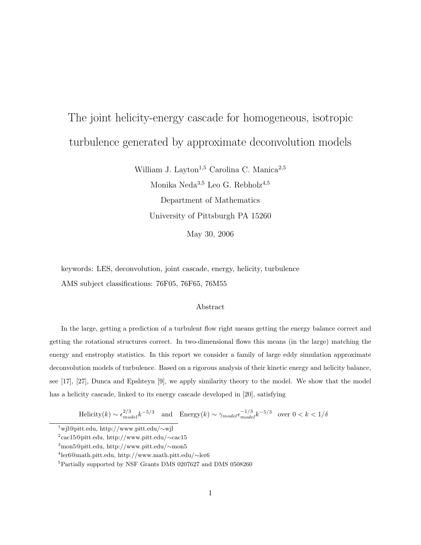# The joint helicity-energy cascade for homogeneous, isotropic turbulence generated by approximate deconvolution models

William J. Layton<sup>1,5</sup> Carolina C. Manica<sup>2,5</sup>

Monika Neda $3,5$  Leo G. Rebholz $4,5$ Department of Mathematics University of Pittsburgh PA 15260

May 30, 2006

keywords: LES, deconvolution, joint cascade, energy, helicity, turbulence AMS subject classifications: 76F05, 76F65, 76M55

#### Abstract

In the large, getting a prediction of a turbulent flow right means getting the energy balance correct and getting the rotational structures correct. In two-dimensional flows this means (in the large) matching the energy and enstrophy statistics. In this report we consider a family of large eddy simulation approximate deconvolution models of turbulence. Based on a rigorous analysis of their kinetic energy and helicity balance, see [17], [27], Dunca and Epshteyn [9], we apply similarity theory to the model. We show that the model has a helicity cascade, linked to its energy cascade developed in [20], satisfying

Helicity $(k) \sim \epsilon_{model}^{2/3} k^{-5/3}$  and Energy $(k) \sim \gamma_{model} \epsilon_{model}^{-1/3} k^{-5/3}$  over  $0 < k < 1/\delta$ 

<sup>1</sup>wjl@pitt.edu, http://www.pitt.edu/∼wjl

<sup>2</sup> cac15@pitt.edu, http://www.pitt.edu/∼cac15

<sup>3</sup>mon5@pitt.edu, http://www.pitt.edu/∼mon5

<sup>4</sup> ler6@math.pitt.edu, http://www.math.pitt.edu/∼ler6

<sup>5</sup>Partially supported by NSF Grants DMS 0207627 and DMS 0508260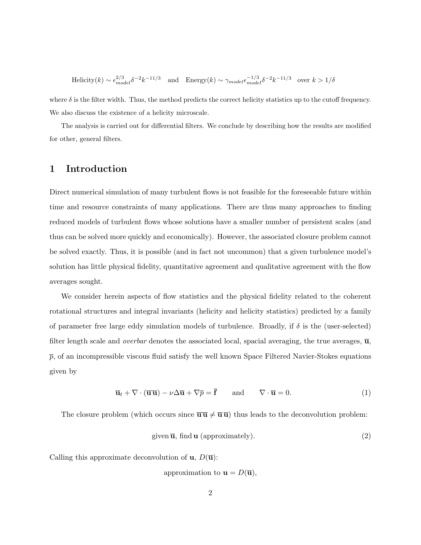Helicity(k) ~  $\epsilon_{model}^{2/3} \delta^{-2} k^{-11/3}$  and Energy(k) ~  $\gamma_{model} \epsilon_{model}^{-1/3} \delta^{-2} k^{-11/3}$  over  $k > 1/\delta$ 

where  $\delta$  is the filter width. Thus, the method predicts the correct helicity statistics up to the cutoff frequency. We also discuss the existence of a helicity microscale.

The analysis is carried out for differential filters. We conclude by describing how the results are modified for other, general filters.

## 1 Introduction

Direct numerical simulation of many turbulent flows is not feasible for the foreseeable future within time and resource constraints of many applications. There are thus many approaches to finding reduced models of turbulent flows whose solutions have a smaller number of persistent scales (and thus can be solved more quickly and economically). However, the associated closure problem cannot be solved exactly. Thus, it is possible (and in fact not uncommon) that a given turbulence model's solution has little physical fidelity, quantitative agreement and qualitative agreement with the flow averages sought.

We consider herein aspects of flow statistics and the physical fidelity related to the coherent rotational structures and integral invariants (helicity and helicity statistics) predicted by a family of parameter free large eddy simulation models of turbulence. Broadly, if  $\delta$  is the (user-selected) filter length scale and *overbar* denotes the associated local, spacial averaging, the true averages,  $\overline{u}$ ,  $\bar{p}$ , of an incompressible viscous fluid satisfy the well known Space Filtered Navier-Stokes equations given by

$$
\overline{\mathbf{u}}_t + \nabla \cdot (\overline{\mathbf{u}} \overline{\mathbf{u}}) - \nu \Delta \overline{\mathbf{u}} + \nabla \overline{p} = \overline{\mathbf{f}} \quad \text{and} \quad \nabla \cdot \overline{\mathbf{u}} = 0. \tag{1}
$$

The closure problem (which occurs since  $\overline{\mathbf{u}} \overline{\mathbf{u}} \neq \overline{\mathbf{u}} \overline{\mathbf{u}}$ ) thus leads to the deconvolution problem:

$$
given \overline{u}, find \mathbf{u} (approximately).
$$
\n<sup>(2)</sup>

Calling this approximate deconvolution of  $\mathbf{u}, D(\overline{\mathbf{u}})$ :

approximation to  $\mathbf{u} = D(\overline{\mathbf{u}})$ ,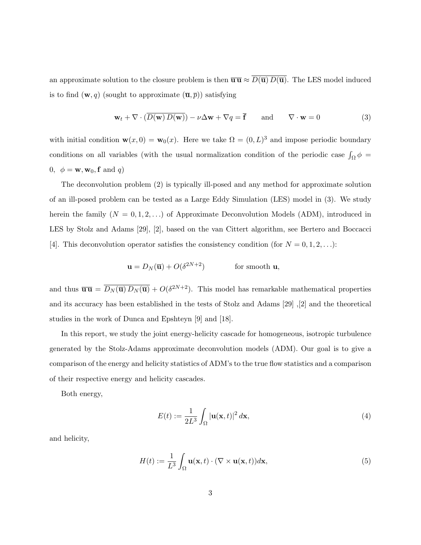an approximate solution to the closure problem is then  $\overline{\mathbf{u}} \equiv \overline{D(\overline{\mathbf{u}}) D(\overline{\mathbf{u}})}$ . The LES model induced is to find  $(\mathbf{w}, q)$  (sought to approximate  $(\overline{\mathbf{u}}, \overline{p})$ ) satisfying

$$
\mathbf{w}_t + \nabla \cdot (\overline{D(\mathbf{w}) D(\mathbf{w})}) - \nu \Delta \mathbf{w} + \nabla q = \overline{\mathbf{f}} \quad \text{and} \quad \nabla \cdot \mathbf{w} = 0 \tag{3}
$$

with initial condition  $\mathbf{w}(x,0) = \mathbf{w}_0(x)$ . Here we take  $\Omega = (0,L)^3$  and impose periodic boundary conditions on all variables (with the usual normalization condition of the periodic case  $\int_{\Omega} \phi =$ 0,  $\phi = \mathbf{w}, \mathbf{w}_0, \mathbf{f}$  and q)

The deconvolution problem (2) is typically ill-posed and any method for approximate solution of an ill-posed problem can be tested as a Large Eddy Simulation (LES) model in (3). We study herein the family  $(N = 0, 1, 2, ...)$  of Approximate Deconvolution Models (ADM), introduced in LES by Stolz and Adams [29], [2], based on the van Cittert algorithm, see Bertero and Boccacci [4]. This deconvolution operator satisfies the consistency condition (for  $N = 0, 1, 2, \ldots$ ):

$$
\mathbf{u} = D_N(\overline{\mathbf{u}}) + O(\delta^{2N+2}) \quad \text{for smooth } \mathbf{u},
$$

and thus  $\overline{\mathbf{u}}\overline{\mathbf{u}} = \overline{D_N(\overline{\mathbf{u}}) D_N(\overline{\mathbf{u}})} + O(\delta^{2N+2})$ . This model has remarkable mathematical properties and its accuracy has been established in the tests of Stolz and Adams [29] ,[2] and the theoretical studies in the work of Dunca and Epshteyn [9] and [18].

In this report, we study the joint energy-helicity cascade for homogeneous, isotropic turbulence generated by the Stolz-Adams approximate deconvolution models (ADM). Our goal is to give a comparison of the energy and helicity statistics of ADM's to the true flow statistics and a comparison of their respective energy and helicity cascades.

Both energy,

$$
E(t) := \frac{1}{2L^3} \int_{\Omega} |\mathbf{u}(\mathbf{x}, t)|^2 d\mathbf{x},\tag{4}
$$

and helicity,

$$
H(t) := \frac{1}{L^3} \int_{\Omega} \mathbf{u}(\mathbf{x}, t) \cdot (\nabla \times \mathbf{u}(\mathbf{x}, t)) d\mathbf{x}, \tag{5}
$$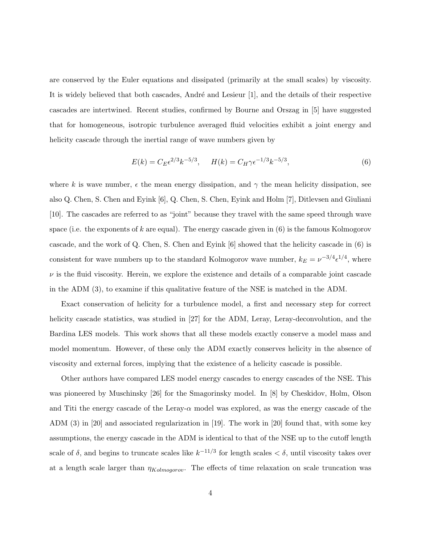are conserved by the Euler equations and dissipated (primarily at the small scales) by viscosity. It is widely believed that both cascades, André and Lesieur  $[1]$ , and the details of their respective cascades are intertwined. Recent studies, confirmed by Bourne and Orszag in [5] have suggested that for homogeneous, isotropic turbulence averaged fluid velocities exhibit a joint energy and helicity cascade through the inertial range of wave numbers given by

$$
E(k) = C_E \epsilon^{2/3} k^{-5/3}, \qquad H(k) = C_H \gamma \epsilon^{-1/3} k^{-5/3}, \tag{6}
$$

where k is wave number,  $\epsilon$  the mean energy dissipation, and  $\gamma$  the mean helicity dissipation, see also Q. Chen, S. Chen and Eyink [6], Q. Chen, S. Chen, Eyink and Holm [7], Ditlevsen and Giuliani [10]. The cascades are referred to as "joint" because they travel with the same speed through wave space (i.e. the exponents of k are equal). The energy cascade given in  $(6)$  is the famous Kolmogorov cascade, and the work of Q. Chen, S. Chen and Eyink [6] showed that the helicity cascade in (6) is consistent for wave numbers up to the standard Kolmogorov wave number,  $k_E = \nu^{-3/4} \epsilon^{1/4}$ , where  $\nu$  is the fluid viscosity. Herein, we explore the existence and details of a comparable joint cascade in the ADM (3), to examine if this qualitative feature of the NSE is matched in the ADM.

Exact conservation of helicity for a turbulence model, a first and necessary step for correct helicity cascade statistics, was studied in [27] for the ADM, Leray, Leray-deconvolution, and the Bardina LES models. This work shows that all these models exactly conserve a model mass and model momentum. However, of these only the ADM exactly conserves helicity in the absence of viscosity and external forces, implying that the existence of a helicity cascade is possible.

Other authors have compared LES model energy cascades to energy cascades of the NSE. This was pioneered by Muschinsky [26] for the Smagorinsky model. In [8] by Cheskidov, Holm, Olson and Titi the energy cascade of the Leray- $\alpha$  model was explored, as was the energy cascade of the ADM (3) in [20] and associated regularization in [19]. The work in [20] found that, with some key assumptions, the energy cascade in the ADM is identical to that of the NSE up to the cutoff length scale of  $\delta$ , and begins to truncate scales like  $k^{-1/3}$  for length scales  $\delta$ , until viscosity takes over at a length scale larger than  $\eta_{Kolmogorov}$ . The effects of time relaxation on scale truncation was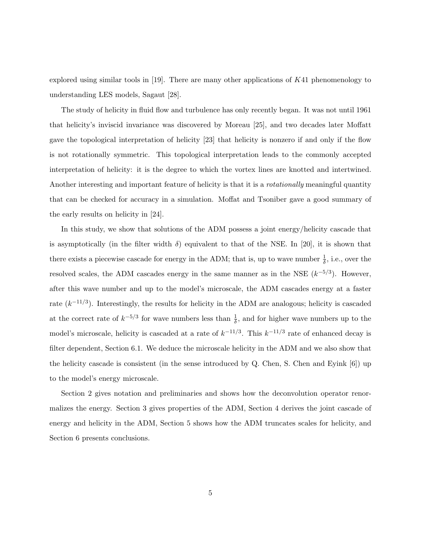explored using similar tools in  $[19]$ . There are many other applications of  $K41$  phenomenology to understanding LES models, Sagaut [28].

The study of helicity in fluid flow and turbulence has only recently began. It was not until 1961 that helicity's inviscid invariance was discovered by Moreau [25], and two decades later Moffatt gave the topological interpretation of helicity [23] that helicity is nonzero if and only if the flow is not rotationally symmetric. This topological interpretation leads to the commonly accepted interpretation of helicity: it is the degree to which the vortex lines are knotted and intertwined. Another interesting and important feature of helicity is that it is a *rotationally* meaningful quantity that can be checked for accuracy in a simulation. Moffat and Tsoniber gave a good summary of the early results on helicity in [24].

In this study, we show that solutions of the ADM possess a joint energy/helicity cascade that is asymptotically (in the filter width  $\delta$ ) equivalent to that of the NSE. In [20], it is shown that there exists a piecewise cascade for energy in the ADM; that is, up to wave number  $\frac{1}{\delta}$ , i.e., over the resolved scales, the ADM cascades energy in the same manner as in the NSE  $(k^{-5/3})$ . However, after this wave number and up to the model's microscale, the ADM cascades energy at a faster rate  $(k^{-1/3})$ . Interestingly, the results for helicity in the ADM are analogous; helicity is cascaded at the correct rate of  $k^{-5/3}$  for wave numbers less than  $\frac{1}{\delta}$ , and for higher wave numbers up to the model's microscale, helicity is cascaded at a rate of  $k^{-1/3}$ . This  $k^{-1/3}$  rate of enhanced decay is filter dependent, Section 6.1. We deduce the microscale helicity in the ADM and we also show that the helicity cascade is consistent (in the sense introduced by Q. Chen, S. Chen and Eyink [6]) up to the model's energy microscale.

Section 2 gives notation and preliminaries and shows how the deconvolution operator renormalizes the energy. Section 3 gives properties of the ADM, Section 4 derives the joint cascade of energy and helicity in the ADM, Section 5 shows how the ADM truncates scales for helicity, and Section 6 presents conclusions.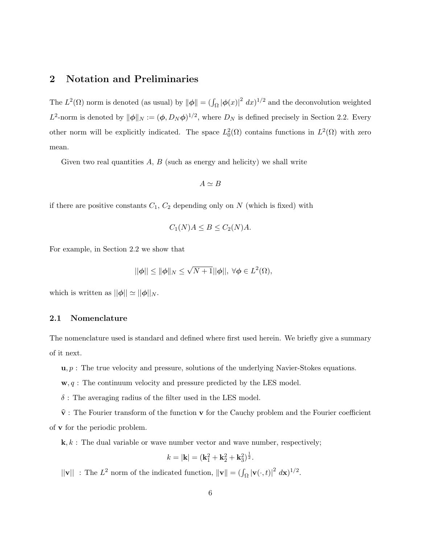## 2 Notation and Preliminaries

The  $L^2(\Omega)$  norm is denoted (as usual) by  $\|\phi\| = (\int_{\Omega} |\phi(x)|^2 dx)^{1/2}$  and the deconvolution weighted  $L^2$ -norm is denoted by  $\|\phi\|_N := (\phi, D_N \phi)^{1/2}$ , where  $D_N$  is defined precisely in Section 2.2. Every other norm will be explicitly indicated. The space  $L_0^2(\Omega)$  contains functions in  $L^2(\Omega)$  with zero mean.

Given two real quantities  $A, B$  (such as energy and helicity) we shall write

$$
A\simeq B
$$

if there are positive constants  $C_1$ ,  $C_2$  depending only on  $N$  (which is fixed) with

$$
C_1(N)A \le B \le C_2(N)A.
$$

For example, in Section 2.2 we show that

$$
||\phi|| \le ||\phi||_N \le \sqrt{N+1}||\phi||, \ \forall \phi \in L^2(\Omega),
$$

which is written as  $||\phi|| \simeq ||\phi||_N$ .

#### 2.1 Nomenclature

The nomenclature used is standard and defined where first used herein. We briefly give a summary of it next.

 $u, p$ : The true velocity and pressure, solutions of the underlying Navier-Stokes equations.

 $\mathbf{w}, q$ : The continuum velocity and pressure predicted by the LES model.

 $\delta$ : The averaging radius of the filter used in the LES model.

 $\hat{\mathbf{v}}$ : The Fourier transform of the function **v** for the Cauchy problem and the Fourier coefficient of v for the periodic problem.

 $\mathbf{k}, k$ : The dual variable or wave number vector and wave number, respectively;

$$
k = |\mathbf{k}| = (\mathbf{k}_1^2 + \mathbf{k}_2^2 + \mathbf{k}_3^2)^{\frac{1}{2}}.
$$

 $||\mathbf{v}||$ : The  $L^2$  norm of the indicated function,  $||\mathbf{v}|| = (\int_{\Omega} |\mathbf{v}(\cdot, t)|^2 d\mathbf{x})^{1/2}$ .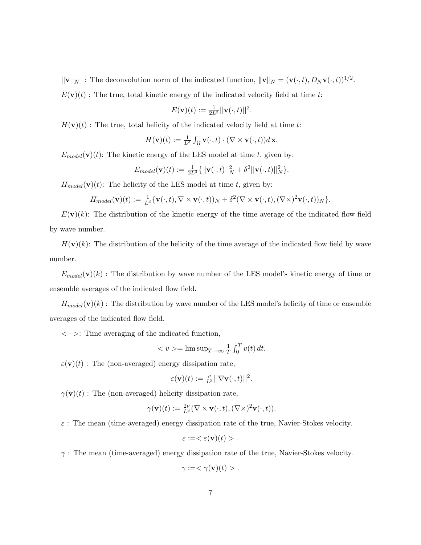$||\mathbf{v}||_N$ : The deconvolution norm of the indicated function,  $||\mathbf{v}||_N = (\mathbf{v}(\cdot, t), D_N \mathbf{v}(\cdot, t))^{1/2}$ .

 $E(\mathbf{v})(t)$ : The true, total kinetic energy of the indicated velocity field at time t:

$$
E(\mathbf{v})(t) := \frac{1}{2L^3} ||\mathbf{v}(\cdot, t)||^2.
$$

 $H(\mathbf{v})(t)$ : The true, total helicity of the indicated velocity field at time t:

$$
H(\mathbf{v})(t) := \frac{1}{L^3} \int_{\Omega} \mathbf{v}(\cdot, t) \cdot (\nabla \times \mathbf{v}(\cdot, t)) d\mathbf{x}.
$$

 $E_{model}(\mathbf{v})(t)$ : The kinetic energy of the LES model at time t, given by:

$$
E_{model}(\mathbf{v})(t) := \frac{1}{2L^3} \{ ||\mathbf{v}(\cdot,t)||_N^2 + \delta^2 ||\mathbf{v}(\cdot,t)||_N^2 \}.
$$

 $H_{model}(v)(t)$ : The helicity of the LES model at time t, given by:

$$
H_{model}(\mathbf{v})(t) := \frac{1}{L^3} \{ \mathbf{v}(\cdot,t), \nabla \times \mathbf{v}(\cdot,t) \}_{N} + \delta^2 (\nabla \times \mathbf{v}(\cdot,t), (\nabla \times)^2 \mathbf{v}(\cdot,t) )_{N} \}.
$$

 $E(\mathbf{v})(k)$ : The distribution of the kinetic energy of the time average of the indicated flow field by wave number.

 $H(\mathbf{v})(k)$ : The distribution of the helicity of the time average of the indicated flow field by wave number.

 $E_{model}(\mathbf{v})(k)$ : The distribution by wave number of the LES model's kinetic energy of time or ensemble averages of the indicated flow field.

 $H_{model}(\mathbf{v})(k)$ : The distribution by wave number of the LES model's helicity of time or ensemble averages of the indicated flow field.

 $\langle \cdot \rangle$ : Time averaging of the indicated function,

$$
\langle v \rangle = \limsup_{T \to \infty} \frac{1}{T} \int_0^T v(t) \, dt.
$$

 $\varepsilon(\mathbf{v})(t)$ : The (non-averaged) energy dissipation rate,

$$
\varepsilon(\mathbf{v})(t):=\tfrac{\nu}{L^3}||\nabla \mathbf{v}(\cdot,t)||^2.
$$

 $\gamma(\mathbf{v})(t)$ : The (non-averaged) helicity dissipation rate,

$$
\gamma(\mathbf{v})(t) := \frac{2\nu}{L^3}(\nabla \times \mathbf{v}(\cdot,t), (\nabla \times)^2 \mathbf{v}(\cdot,t)).
$$

 $\varepsilon$ : The mean (time-averaged) energy dissipation rate of the true, Navier-Stokes velocity.

$$
\varepsilon := <\varepsilon(\mathbf{v})(t) > .
$$

 $\gamma$ : The mean (time-averaged) energy dissipation rate of the true, Navier-Stokes velocity.

$$
\gamma := <\gamma(\mathbf{v})(t) > .
$$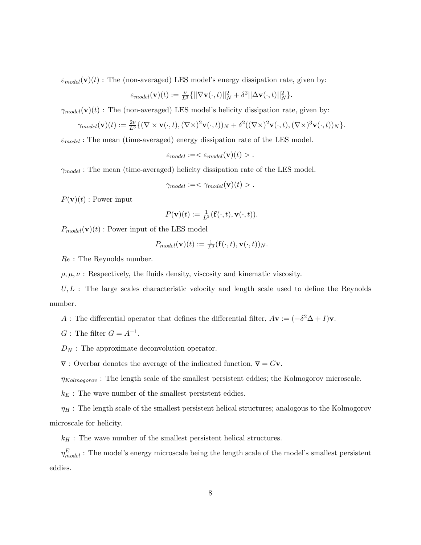$\varepsilon_{model}(\mathbf{v})(t)$ : The (non-averaged) LES model's energy dissipation rate, given by:

$$
\varepsilon_{model}(\mathbf{v})(t):=\tfrac{\nu}{L^3}\{||\nabla \mathbf{v}(\cdot,t)||_N^2+\delta^2||\Delta \mathbf{v}(\cdot,t)||_N^2\}.
$$

 $\gamma_{model}(\mathbf{v})(t)$ : The (non-averaged) LES model's helicity dissipation rate, given by:

$$
\gamma_{model}(\mathbf{v})(t) := \frac{2\nu}{L^3} \{ (\nabla \times \mathbf{v}(\cdot, t), (\nabla \times)^2 \mathbf{v}(\cdot, t))_N + \delta^2 ((\nabla \times)^2 \mathbf{v}(\cdot, t), (\nabla \times)^3 \mathbf{v}(\cdot, t))_N \}.
$$

 $\varepsilon_{model}$ : The mean (time-averaged) energy dissipation rate of the LES model.

$$
\varepsilon_{model} := \langle \varepsilon_{model}(\mathbf{v})(t) \rangle.
$$

 $\gamma_{model}$ : The mean (time-averaged) helicity dissipation rate of the LES model.

$$
\gamma_{model} := < \gamma_{model}(\mathbf{v})(t) > .
$$

 $P(\mathbf{v})(t)$ : Power input

$$
P(\mathbf{v})(t) := \frac{1}{L^3}(\mathbf{f}(\cdot,t), \mathbf{v}(\cdot,t)).
$$

 $P_{model}(v)(t)$ : Power input of the LES model

$$
P_{model}(\mathbf{v})(t) := \frac{1}{L^3}(\mathbf{f}(\cdot,t),\mathbf{v}(\cdot,t))_N.
$$

Re : The Reynolds number.

 $\rho, \mu, \nu$ : Respectively, the fluids density, viscosity and kinematic viscosity.

 $U, L$ : The large scales characteristic velocity and length scale used to define the Reynolds number.

A : The differential operator that defines the differential filter,  $A$ **v** :=  $(-\delta^2 \Delta + I)\mathbf{v}$ .

 $G$ : The filter  $G = A^{-1}$ .

 $D_N$ : The approximate deconvolution operator.

 $\overline{\mathbf{v}}$ : Overbar denotes the average of the indicated function,  $\overline{\mathbf{v}} = G\mathbf{v}$ .

 $\eta_{Kolmogorov}$ : The length scale of the smallest persistent eddies; the Kolmogorov microscale.

 $k_E$ : The wave number of the smallest persistent eddies.

 $\eta_H$ : The length scale of the smallest persistent helical structures; analogous to the Kolmogorov microscale for helicity.

 $k_H$ : The wave number of the smallest persistent helical structures.

 $\eta^E_{model}$  : The model's energy microscale being the length scale of the model's smallest persistent eddies.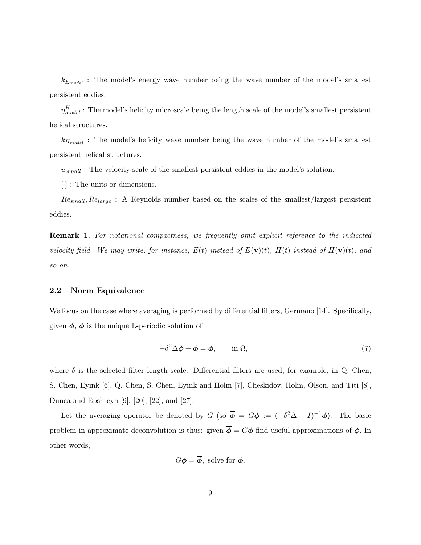$k_{E_{model}}$ : The model's energy wave number being the wave number of the model's smallest persistent eddies.

 $\eta^H_{model}$ : The model's helicity microscale being the length scale of the model's smallest persistent helical structures.

 $k_{H_{model}}$ : The model's helicity wave number being the wave number of the model's smallest persistent helical structures.

 $w_{small}$ : The velocity scale of the smallest persistent eddies in the model's solution.

[·] : The units or dimensions.

 $Re_{small}$ ,  $Re_{large}$ : A Reynolds number based on the scales of the smallest/largest persistent eddies.

**Remark 1.** For notational compactness, we frequently omit explicit reference to the indicated velocity field. We may write, for instance,  $E(t)$  instead of  $E(\mathbf{v})(t)$ ,  $H(t)$  instead of  $H(\mathbf{v})(t)$ , and so on.

#### 2.2 Norm Equivalence

We focus on the case where averaging is performed by differential filters, Germano [14]. Specifically, given  $\phi$ ,  $\overline{\phi}$  is the unique L-periodic solution of

$$
-\delta^2 \Delta \overline{\phi} + \overline{\phi} = \phi, \qquad \text{in } \Omega,\tag{7}
$$

where  $\delta$  is the selected filter length scale. Differential filters are used, for example, in Q. Chen, S. Chen, Eyink [6], Q. Chen, S. Chen, Eyink and Holm [7], Cheskidov, Holm, Olson, and Titi [8], Dunca and Epshteyn [9], [20], [22], and [27].

Let the averaging operator be denoted by G (so  $\overline{\phi} = G\phi := (-\delta^2 \Delta + I)^{-1} \phi$ ). The basic problem in approximate deconvolution is thus: given  $\overline{\phi} = G\phi$  find useful approximations of  $\phi$ . In other words,

$$
G\phi = \overline{\phi}
$$
, solve for  $\phi$ .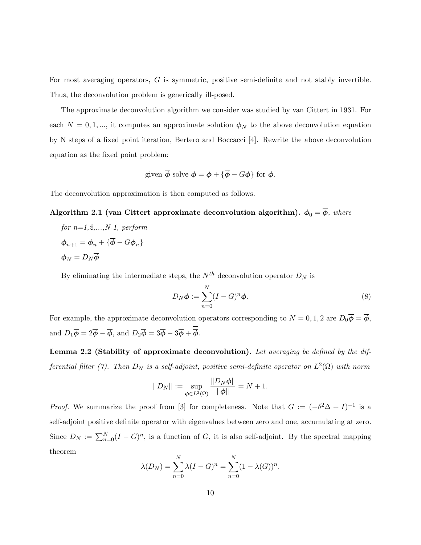For most averaging operators, G is symmetric, positive semi-definite and not stably invertible. Thus, the deconvolution problem is generically ill-posed.

The approximate deconvolution algorithm we consider was studied by van Cittert in 1931. For each  $N = 0, 1, \dots$ , it computes an approximate solution  $\phi_N$  to the above deconvolution equation by N steps of a fixed point iteration, Bertero and Boccacci [4]. Rewrite the above deconvolution equation as the fixed point problem:

given 
$$
\overline{\phi}
$$
 solve  $\phi = \phi + {\overline{\phi} - G\phi}$  for  $\phi$ .

The deconvolution approximation is then computed as follows.

## Algorithm 2.1 (van Cittert approximate deconvolution algorithm).  $\phi_0 = \overline{\phi}$ , where

for  $n=1,2,...,N-1$ , perform  $\phi_{n+1} = \phi_n + {\overline{\phi}} - G\phi_n$  $\phi_N = D_N \overline{\phi}$ 

By eliminating the intermediate steps, the  $N^{th}$  deconvolution operator  $D_N$  is

$$
D_N \phi := \sum_{n=0}^N (I - G)^n \phi.
$$
\n(8)

For example, the approximate deconvolution operators corresponding to  $N = 0, 1, 2$  are  $D_0 \phi = \overline{\phi}$ , and  $D_1\overline{\phi} = 2\overline{\phi} - \overline{\overline{\phi}}$ , and  $D_2\overline{\phi} = 3\overline{\phi} - 3\overline{\overline{\phi}} + \overline{\overline{\phi}}$ .

Lemma 2.2 (Stability of approximate deconvolution). Let averaging be defined by the differential filter (7). Then  $D_N$  is a self-adjoint, positive semi-definite operator on  $L^2(\Omega)$  with norm

$$
||D_N|| := \sup_{\phi \in L^2(\Omega)} \frac{||D_N \phi||}{||\phi||} = N + 1.
$$

*Proof.* We summarize the proof from [3] for completeness. Note that  $G := (-\delta^2 \Delta + I)^{-1}$  is a self-adjoint positive definite operator with eigenvalues between zero and one, accumulating at zero. Since  $D_N := \sum_{n=0}^N (I - G)^n$ , is a function of G, it is also self-adjoint. By the spectral mapping theorem

$$
\lambda(D_N) = \sum_{n=0}^{N} \lambda (I - G)^n = \sum_{n=0}^{N} (1 - \lambda(G))^n.
$$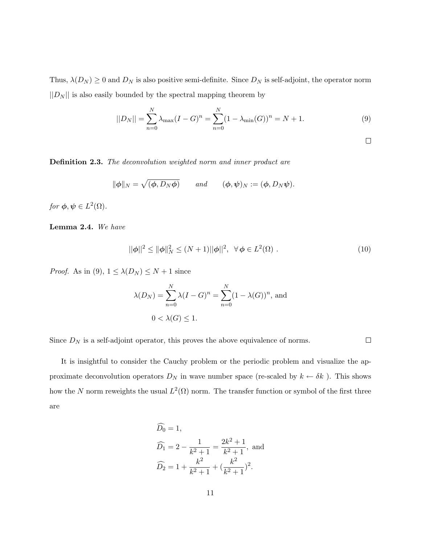Thus,  $\lambda(D_N) \geq 0$  and  $D_N$  is also positive semi-definite. Since  $D_N$  is self-adjoint, the operator norm  $||D_N||$  is also easily bounded by the spectral mapping theorem by

$$
||D_N|| = \sum_{n=0}^{N} \lambda_{\max} (I - G)^n = \sum_{n=0}^{N} (1 - \lambda_{\min}(G))^n = N + 1.
$$
 (9)

 $\Box$ 

 $\Box$ 

Definition 2.3. The deconvolution weighted norm and inner product are

$$
\|\phi\|_N = \sqrt{(\phi, D_N\phi)}
$$
 and  $(\phi, \psi)_N := (\phi, D_N\psi).$ 

for  $\phi, \psi \in L^2(\Omega)$ .

Lemma 2.4. We have

$$
||\phi||^2 \le ||\phi||_N^2 \le (N+1)||\phi||^2, \ \ \forall \phi \in L^2(\Omega) \ . \tag{10}
$$

*Proof.* As in (9),  $1 \leq \lambda(D_N) \leq N+1$  since

$$
\lambda(D_N) = \sum_{n=0}^{N} \lambda (I - G)^n = \sum_{n=0}^{N} (1 - \lambda(G))^n
$$
, and  
 
$$
0 < \lambda(G) \le 1.
$$

Since  $D_N$  is a self-adjoint operator, this proves the above equivalence of norms.

It is insightful to consider the Cauchy problem or the periodic problem and visualize the approximate deconvolution operators  $D_N$  in wave number space (re-scaled by  $k \leftarrow \delta k$ ). This shows how the N norm reweights the usual  $L^2(\Omega)$  norm. The transfer function or symbol of the first three are

$$
\widehat{D}_0 = 1,
$$
  
\n
$$
\widehat{D}_1 = 2 - \frac{1}{k^2 + 1} = \frac{2k^2 + 1}{k^2 + 1}, \text{ and}
$$
  
\n
$$
\widehat{D}_2 = 1 + \frac{k^2}{k^2 + 1} + \left(\frac{k^2}{k^2 + 1}\right)^2.
$$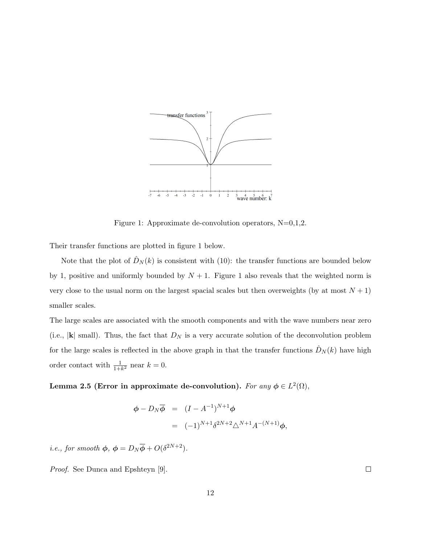

Figure 1: Approximate de-convolution operators,  $N=0,1,2$ .

Their transfer functions are plotted in figure 1 below.

Note that the plot of  $\hat{D}_N(k)$  is consistent with (10): the transfer functions are bounded below by 1, positive and uniformly bounded by  $N + 1$ . Figure 1 also reveals that the weighted norm is very close to the usual norm on the largest spacial scales but then overweights (by at most  $N + 1$ ) smaller scales.

The large scales are associated with the smooth components and with the wave numbers near zero (i.e.,  $|\mathbf{k}|$  small). Thus, the fact that  $D_N$  is a very accurate solution of the deconvolution problem for the large scales is reflected in the above graph in that the transfer functions  $\hat{D}_N(k)$  have high order contact with  $\frac{1}{1+k^2}$  near  $k=0$ .

Lemma 2.5 (Error in approximate de-convolution). For any  $\phi \in L^2(\Omega)$ ,

$$
\begin{array}{rcl}\n\phi - D_N \overline{\phi} & = & (I - A^{-1})^{N+1} \phi \\
& = & (-1)^{N+1} \delta^{2N+2} \triangle^{N+1} A^{-(N+1)} \phi,\n\end{array}
$$

*i.e.*, for smooth  $\phi$ ,  $\phi = D_N \overline{\phi} + O(\delta^{2N+2}).$ 

Proof. See Dunca and Epshteyn [9].

 $\hfill\square$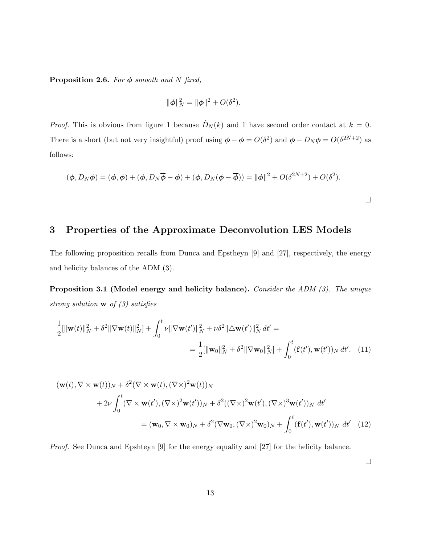**Proposition 2.6.** For  $\phi$  smooth and N fixed,

$$
\|\phi\|_N^2 = \|\phi\|^2 + O(\delta^2).
$$

*Proof.* This is obvious from figure 1 because  $\hat{D}_N(k)$  and 1 have second order contact at  $k = 0$ . There is a short (but not very insightful) proof using  $\phi - \overline{\phi} = O(\delta^2)$  and  $\phi - D_N \overline{\phi} = O(\delta^{2N+2})$  as follows:

$$
(\phi, D_N\phi) = (\phi, \phi) + (\phi, D_N\overline{\phi} - \phi) + (\phi, D_N(\phi - \overline{\phi})) = ||\phi||^2 + O(\delta^{2N+2}) + O(\delta^2).
$$

## 3 Properties of the Approximate Deconvolution LES Models

The following proposition recalls from Dunca and Epstheyn [9] and [27], respectively, the energy and helicity balances of the ADM (3).

Proposition 3.1 (Model energy and helicity balance). Consider the ADM (3). The unique strong solution  $\bf{w}$  of (3) satisfies

$$
\frac{1}{2}[\|\mathbf{w}(t)\|_{N}^{2} + \delta^{2} \|\nabla \mathbf{w}(t)\|_{N}^{2}] + \int_{0}^{t} \nu \|\nabla \mathbf{w}(t')\|_{N}^{2} + \nu \delta^{2} \|\Delta \mathbf{w}(t')\|_{N}^{2} dt' =
$$
\n
$$
= \frac{1}{2}[\|\mathbf{w}_{0}\|_{N}^{2} + \delta^{2} \|\nabla \mathbf{w}_{0}\|_{N}^{2}] + \int_{0}^{t} (\mathbf{f}(t'), \mathbf{w}(t'))_{N} dt'. \quad (11)
$$

$$
(\mathbf{w}(t), \nabla \times \mathbf{w}(t))_N + \delta^2 (\nabla \times \mathbf{w}(t), (\nabla \times)^2 \mathbf{w}(t))_N
$$
  
+2\n
$$
+ 2\nu \int_0^t (\nabla \times \mathbf{w}(t'), (\nabla \times)^2 \mathbf{w}(t'))_N + \delta^2 ((\nabla \times)^2 \mathbf{w}(t'), (\nabla \times)^3 \mathbf{w}(t'))_N dt'
$$
  
= 
$$
(\mathbf{w}_0, \nabla \times \mathbf{w}_0)_N + \delta^2 (\nabla \mathbf{w}_0, (\nabla \times)^2 \mathbf{w}_0)_N + \int_0^t (\mathbf{f}(t'), \mathbf{w}(t'))_N dt'
$$
(12)

Proof. See Dunca and Epshteyn [9] for the energy equality and [27] for the helicity balance.

 $\Box$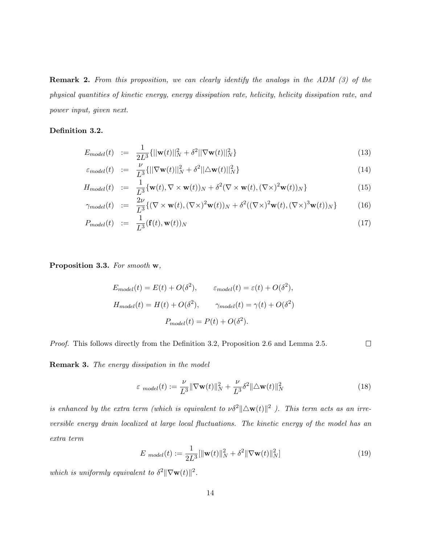Remark 2. From this proposition, we can clearly identify the analogs in the ADM (3) of the physical quantities of kinetic energy, energy dissipation rate, helicity, helicity dissipation rate, and power input, given next.

#### Definition 3.2.

$$
E_{model}(t) := \frac{1}{2L^3} \{ ||\mathbf{w}(t)||_N^2 + \delta^2 ||\nabla \mathbf{w}(t)||_N^2 \}
$$
\n(13)

$$
\varepsilon_{model}(t) \quad := \quad \frac{\nu}{L^3} \{ ||\nabla \mathbf{w}(t)||_N^2 + \delta^2 ||\Delta \mathbf{w}(t)||_N^2 \} \tag{14}
$$

$$
H_{model}(t) := \frac{1}{L^3} \{ \mathbf{w}(t), \nabla \times \mathbf{w}(t) \}_N + \delta^2 (\nabla \times \mathbf{w}(t), (\nabla \times)^2 \mathbf{w}(t))_N \}
$$
(15)

$$
\gamma_{model}(t) := \frac{2\nu}{L^3} \{ (\nabla \times \mathbf{w}(t), (\nabla \times)^2 \mathbf{w}(t))_N + \delta^2 ((\nabla \times)^2 \mathbf{w}(t), (\nabla \times)^3 \mathbf{w}(t))_N \}
$$
(16)

$$
P_{model}(t) := \frac{1}{L^3}(\mathbf{f}(t), \mathbf{w}(t))_N
$$
\n(17)

Proposition 3.3. For smooth w,

$$
E_{model}(t) = E(t) + O(\delta^2), \qquad \varepsilon_{model}(t) = \varepsilon(t) + O(\delta^2),
$$
  
\n
$$
H_{model}(t) = H(t) + O(\delta^2), \qquad \gamma_{model}(t) = \gamma(t) + O(\delta^2)
$$
  
\n
$$
P_{model}(t) = P(t) + O(\delta^2).
$$

Proof. This follows directly from the Definition 3.2, Proposition 2.6 and Lemma 2.5.  $\Box$ 

Remark 3. The energy dissipation in the model

$$
\varepsilon_{model}(t) := \frac{\nu}{L^3} \|\nabla \mathbf{w}(t)\|_N^2 + \frac{\nu}{L^3} \delta^2 \|\Delta \mathbf{w}(t)\|_N^2
$$
\n(18)

is enhanced by the extra term (which is equivalent to  $\nu \delta^2 ||\Delta \mathbf{w}(t)||^2$ ). This term acts as an irreversible energy drain localized at large local fluctuations. The kinetic energy of the model has an extra term

$$
E_{model}(t) := \frac{1}{2L^3} [\|\mathbf{w}(t)\|_{N}^2 + \delta^2 \|\nabla \mathbf{w}(t)\|_{N}^2]
$$
(19)

which is uniformly equivalent to  $\delta^2 ||\nabla \mathbf{w}(t)||^2$ .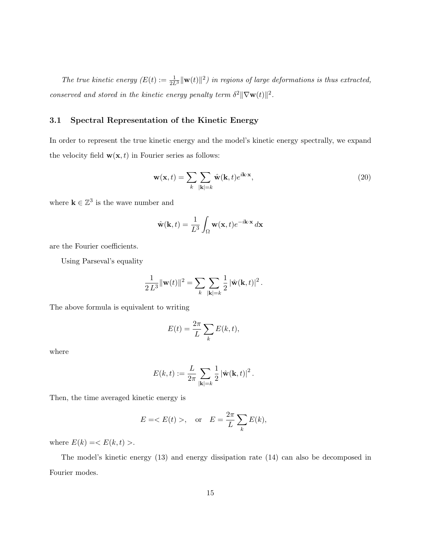The true kinetic energy  $(E(t) := \frac{1}{2L^3} ||\mathbf{w}(t)||^2)$  in regions of large deformations is thus extracted, conserved and stored in the kinetic energy penalty term  $\delta^2 ||\nabla \mathbf{w}(t)||^2$ .

#### 3.1 Spectral Representation of the Kinetic Energy

In order to represent the true kinetic energy and the model's kinetic energy spectrally, we expand the velocity field  $\mathbf{w}(\mathbf{x}, t)$  in Fourier series as follows:

$$
\mathbf{w}(\mathbf{x},t) = \sum_{k} \sum_{|\mathbf{k}|=k} \hat{\mathbf{w}}(\mathbf{k},t) e^{i\mathbf{k}\cdot\mathbf{x}},
$$
\n(20)

where  $\mathbf{k} \in \mathbb{Z}^3$  is the wave number and

$$
\hat{\mathbf{w}}(\mathbf{k},t) = \frac{1}{L^3} \int_{\Omega} \mathbf{w}(\mathbf{x},t) e^{-i\mathbf{k}\cdot\mathbf{x}} d\mathbf{x}
$$

are the Fourier coefficients.

Using Parseval's equality

$$
\frac{1}{2 L^3} ||\mathbf{w}(t)||^2 = \sum_{k} \sum_{|\mathbf{k}|=k} \frac{1}{2} |\hat{\mathbf{w}}(\mathbf{k}, t)|^2.
$$

The above formula is equivalent to writing

$$
E(t) = \frac{2\pi}{L} \sum_{k} E(k, t),
$$

where

$$
E(k,t) := \frac{L}{2\pi} \sum_{|\mathbf{k}|=k} \frac{1}{2} |\hat{\mathbf{w}}(\mathbf{k},t)|^2.
$$

Then, the time averaged kinetic energy is

$$
E = \langle E(t) \rangle, \quad \text{or} \quad E = \frac{2\pi}{L} \sum_{k} E(k),
$$

where  $E(k) = \langle E(k, t) \rangle$ .

The model's kinetic energy (13) and energy dissipation rate (14) can also be decomposed in Fourier modes.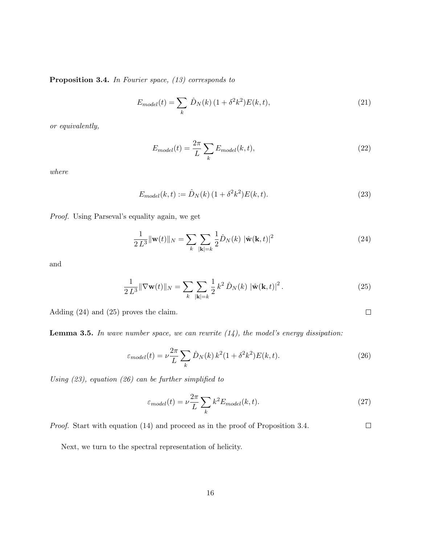Proposition 3.4. In Fourier space, (13) corresponds to

$$
E_{model}(t) = \sum_{k} \hat{D}_{N}(k) (1 + \delta^{2} k^{2}) E(k, t),
$$
\n(21)

or equivalently,

$$
E_{model}(t) = \frac{2\pi}{L} \sum_{k} E_{model}(k, t),
$$
\n(22)

where

$$
E_{model}(k, t) := \hat{D}_N(k) \left(1 + \delta^2 k^2\right) E(k, t). \tag{23}
$$

Proof. Using Parseval's equality again, we get

$$
\frac{1}{2 L^3} \|\mathbf{w}(t)\|_N = \sum_{k} \sum_{|\mathbf{k}|=k} \frac{1}{2} \hat{D}_N(k) \|\hat{\mathbf{w}}(\mathbf{k}, t)\|^2
$$
\n(24)

and

$$
\frac{1}{2 L^3} \|\nabla \mathbf{w}(t)\|_{N} = \sum_{k} \sum_{|\mathbf{k}|=k} \frac{1}{2} k^2 \hat{D}_N(k) |\hat{\mathbf{w}}(\mathbf{k}, t)|^2.
$$
 (25)

 $\Box$ 

Adding (24) and (25) proves the claim.

**Lemma 3.5.** In wave number space, we can rewrite  $(14)$ , the model's energy dissipation:

$$
\varepsilon_{model}(t) = \nu \frac{2\pi}{L} \sum_{k} \hat{D}_N(k) k^2 (1 + \delta^2 k^2) E(k, t). \tag{26}
$$

Using (23), equation (26) can be further simplified to

$$
\varepsilon_{model}(t) = \nu \frac{2\pi}{L} \sum_{k} k^2 E_{model}(k, t). \tag{27}
$$

Proof. Start with equation (14) and proceed as in the proof of Proposition 3.4.  $\Box$ 

Next, we turn to the spectral representation of helicity.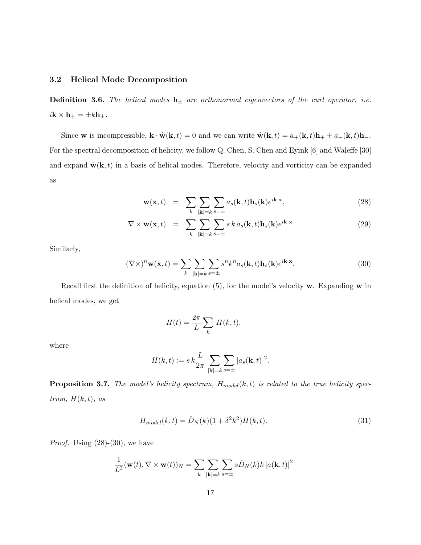#### 3.2 Helical Mode Decomposition

**Definition 3.6.** The helical modes  $\mathbf{h}_{\pm}$  are orthonormal eigenvectors of the curl operator, i.e.  $i\mathbf{k} \times \mathbf{h}_{\pm} = \pm k\mathbf{h}_{\pm}.$ 

Since w is incompressible,  $\mathbf{k} \cdot \hat{\mathbf{w}}(\mathbf{k}, t) = 0$  and we can write  $\hat{\mathbf{w}}(\mathbf{k}, t) = a_{+}(\mathbf{k}, t)\mathbf{h}_{+} + a_{-}(\mathbf{k}, t)\mathbf{h}_{-}$ . For the spectral decomposition of helicity, we follow Q. Chen, S. Chen and Eyink [6] and Waleffe [30] and expand  $\hat{\mathbf{w}}(\mathbf{k}, t)$  in a basis of helical modes. Therefore, velocity and vorticity can be expanded as

$$
\mathbf{w}(\mathbf{x},t) = \sum_{k} \sum_{|\mathbf{k}|=k} \sum_{s=\pm} a_s(\mathbf{k},t) \mathbf{h}_s(\mathbf{k}) e^{i\mathbf{k}\cdot\mathbf{x}},
$$
\n(28)

$$
\nabla \times \mathbf{w}(\mathbf{x},t) = \sum_{k} \sum_{|\mathbf{k}|=k} \sum_{s=\pm} s k a_s(\mathbf{k},t) \mathbf{h}_s(\mathbf{k}) e^{i\mathbf{k}\cdot\mathbf{x}}
$$
(29)

Similarly,

$$
(\nabla \times)^n \mathbf{w}(\mathbf{x}, t) = \sum_{k} \sum_{|\mathbf{k}|=k} \sum_{s=\pm} s^n k^n a_s(\mathbf{k}, t) \mathbf{h}_s(\mathbf{k}) e^{i\mathbf{k} \cdot \mathbf{x}}.
$$
 (30)

Recall first the definition of helicity, equation  $(5)$ , for the model's velocity w. Expanding w in helical modes, we get

$$
H(t) = \frac{2\pi}{L} \sum_{k} H(k, t),
$$

where

$$
H(k,t) := s k \frac{L}{2\pi} \sum_{|\mathbf{k}|=k} \sum_{s=\pm} |a_s(\mathbf{k},t)|^2.
$$

**Proposition 3.7.** The model's helicity spectrum,  $H_{model}(k, t)$  is related to the true helicity spectrum,  $H(k, t)$ , as

$$
H_{model}(k,t) = \hat{D}_N(k)(1+\delta^2 k^2)H(k,t).
$$
\n(31)

*Proof.* Using  $(28)-(30)$ , we have

$$
\frac{1}{L^3}(\mathbf{w}(t), \nabla \times \mathbf{w}(t))_N = \sum_{k} \sum_{|\mathbf{k}|=k} \sum_{s=\pm} s \hat{D}_N(k) k |a(\mathbf{k}, t)|^2
$$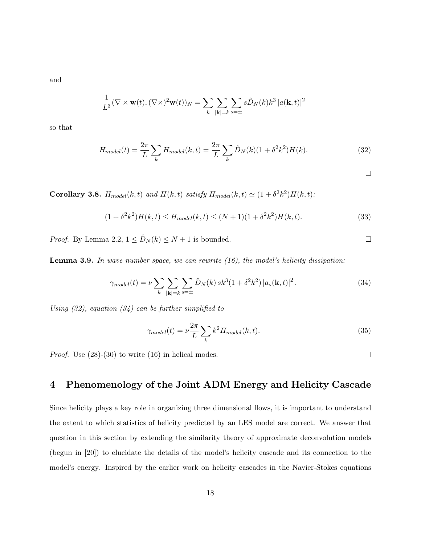and

$$
\frac{1}{L^3}(\nabla \times \mathbf{w}(t), (\nabla \times)^2 \mathbf{w}(t))_N = \sum_{k} \sum_{|\mathbf{k}|=k} \sum_{s=\pm} s \hat{D}_N(k) k^3 |a(\mathbf{k}, t)|^2
$$

so that

$$
H_{model}(t) = \frac{2\pi}{L} \sum_{k} H_{model}(k, t) = \frac{2\pi}{L} \sum_{k} \hat{D}_{N}(k)(1 + \delta^{2}k^{2})H(k).
$$
 (32)

 $\Box$ 

 $\Box$ 

Corollary 3.8.  $H_{model}(k, t)$  and  $H(k, t)$  satisfy  $H_{model}(k, t) \simeq (1 + \delta^2 k^2) H(k, t)$ :

$$
(1 + \delta^2 k^2)H(k, t) \le H_{model}(k, t) \le (N + 1)(1 + \delta^2 k^2)H(k, t). \tag{33}
$$

*Proof.* By Lemma 2.2,  $1 \leq \hat{D}_N(k) \leq N+1$  is bounded.

**Lemma 3.9.** In wave number space, we can rewrite  $(16)$ , the model's helicity dissipation:

$$
\gamma_{model}(t) = \nu \sum_{k} \sum_{|\mathbf{k}|=k} \sum_{s=\pm} \hat{D}_N(k) \, sk^3 (1 + \delta^2 k^2) \, |a_s(\mathbf{k}, t)|^2 \,. \tag{34}
$$

Using  $(32)$ , equation  $(34)$  can be further simplified to

$$
\gamma_{model}(t) = \nu \frac{2\pi}{L} \sum_{k} k^2 H_{model}(k, t). \tag{35}
$$

*Proof.* Use  $(28)-(30)$  to write  $(16)$  in helical modes.

 $\Box$ 

## 4 Phenomenology of the Joint ADM Energy and Helicity Cascade

Since helicity plays a key role in organizing three dimensional flows, it is important to understand the extent to which statistics of helicity predicted by an LES model are correct. We answer that question in this section by extending the similarity theory of approximate deconvolution models (begun in [20]) to elucidate the details of the model's helicity cascade and its connection to the model's energy. Inspired by the earlier work on helicity cascades in the Navier-Stokes equations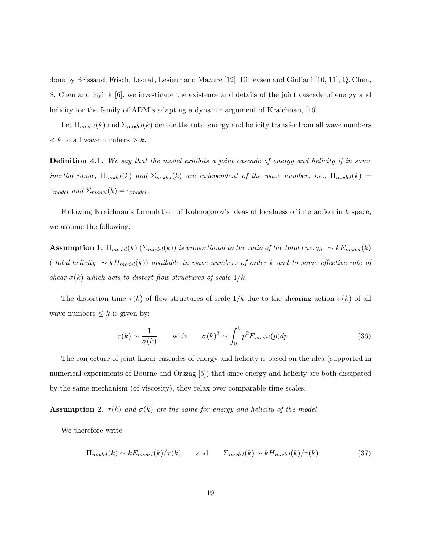done by Brissaud, Frisch, Leorat, Lesieur and Mazure [12], Ditlevsen and Giuliani [10, 11], Q. Chen, S. Chen and Eyink [6], we investigate the existence and details of the joint cascade of energy and helicity for the family of ADM's adapting a dynamic argument of Kraichnan, [16].

Let  $\Pi_{model}(k)$  and  $\Sigma_{model}(k)$  denote the total energy and helicity transfer from all wave numbers  $\langle k \rangle$  to all wave numbers  $\langle k \rangle$ .

**Definition 4.1.** We say that the model exhibits a joint cascade of energy and helicity if in some inertial range,  $\Pi_{model}(k)$  and  $\Sigma_{model}(k)$  are independent of the wave number, i.e.,  $\Pi_{model}(k)$  =  $\varepsilon_{model}$  and  $\Sigma_{model}(k) = \gamma_{model}$ .

Following Kraichnan's formulation of Kolmogorov's ideas of localness of interaction in k space, we assume the following.

**Assumption 1.**  $\Pi_{model}(k)$  ( $\Sigma_{model}(k)$ ) is proportional to the ratio of the total energy  $\sim kE_{model}(k)$ ( total helicity  $\sim kH_{model}(k)$ ) available in wave numbers of order k and to some effective rate of shear  $\sigma(k)$  which acts to distort flow structures of scale  $1/k$ .

The distortion time  $\tau(k)$  of flow structures of scale  $1/k$  due to the shearing action  $\sigma(k)$  of all wave numbers  $\leq k$  is given by:

$$
\tau(k) \sim \frac{1}{\sigma(k)} \quad \text{with} \quad \sigma(k)^2 \sim \int_0^k p^2 E_{model}(p) dp. \tag{36}
$$

The conjecture of joint linear cascades of energy and helicity is based on the idea (supported in numerical experiments of Bourne and Orszag [5]) that since energy and helicity are both dissipated by the same mechanism (of viscosity), they relax over comparable time scales.

**Assumption 2.**  $\tau(k)$  and  $\sigma(k)$  are the same for energy and helicity of the model.

We therefore write

$$
\Pi_{model}(k) \sim kE_{model}(k) / \tau(k) \quad \text{and} \quad \Sigma_{model}(k) \sim kH_{model}(k) / \tau(k). \tag{37}
$$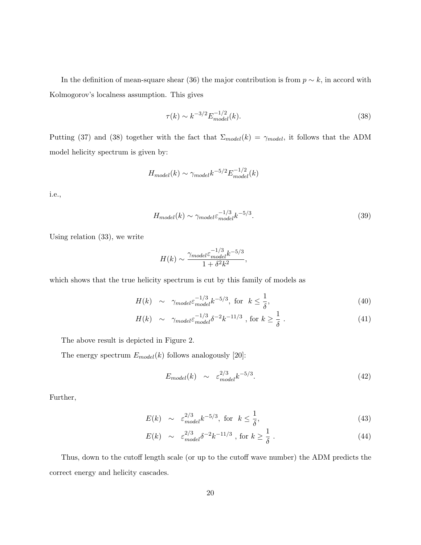In the definition of mean-square shear (36) the major contribution is from  $p \sim k$ , in accord with Kolmogorov's localness assumption. This gives

$$
\tau(k) \sim k^{-3/2} E_{model}^{-1/2}(k). \tag{38}
$$

Putting (37) and (38) together with the fact that  $\Sigma_{model}(k) = \gamma_{model}$ , it follows that the ADM model helicity spectrum is given by:

$$
H_{model}(k) \sim \gamma_{model} k^{-5/2} E_{model}^{-1/2}(k)
$$

i.e.,

$$
H_{model}(k) \sim \gamma_{model} \varepsilon_{model}^{-1/3} k^{-5/3}.
$$
\n(39)

Using relation (33), we write

$$
H(k) \sim \frac{\gamma_{model} \varepsilon_{model}^{-1/3} k^{-5/3}}{1 + \delta^2 k^2},
$$

which shows that the true helicity spectrum is cut by this family of models as

$$
H(k) \sim \gamma_{model} \varepsilon_{model}^{-1/3} k^{-5/3}, \text{ for } k \le \frac{1}{\delta}, \tag{40}
$$

$$
H(k) \sim \gamma_{model} \varepsilon_{model}^{-1/3} \delta^{-2} k^{-11/3} , \text{ for } k \ge \frac{1}{\delta} . \tag{41}
$$

The above result is depicted in Figure 2.

The energy spectrum  $E_{model}(k)$  follows analogously [20]:

$$
E_{model}(k) \sim \varepsilon_{model}^{2/3} k^{-5/3}.
$$
\n(42)

Further,

$$
E(k) \sim \varepsilon_{model}^{2/3} k^{-5/3}, \text{ for } k \le \frac{1}{\delta}, \tag{43}
$$

$$
E(k) \sim \varepsilon_{model}^{2/3} \delta^{-2} k^{-11/3} , \text{ for } k \ge \frac{1}{\delta} . \tag{44}
$$

Thus, down to the cutoff length scale (or up to the cutoff wave number) the ADM predicts the correct energy and helicity cascades.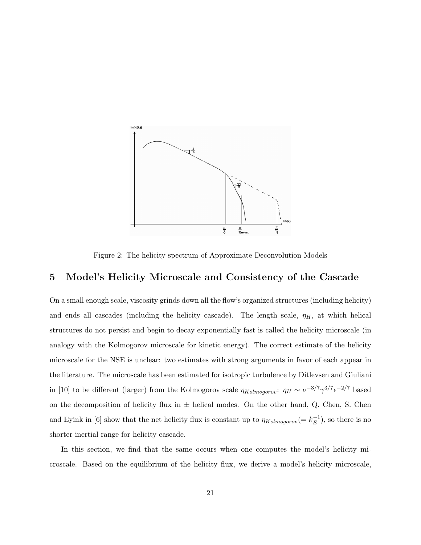

Figure 2: The helicity spectrum of Approximate Deconvolution Models

## 5 Model's Helicity Microscale and Consistency of the Cascade

On a small enough scale, viscosity grinds down all the flow's organized structures (including helicity) and ends all cascades (including the helicity cascade). The length scale,  $\eta_H$ , at which helical structures do not persist and begin to decay exponentially fast is called the helicity microscale (in analogy with the Kolmogorov microscale for kinetic energy). The correct estimate of the helicity microscale for the NSE is unclear: two estimates with strong arguments in favor of each appear in the literature. The microscale has been estimated for isotropic turbulence by Ditlevsen and Giuliani in [10] to be different (larger) from the Kolmogorov scale  $\eta_{Kolmogorov}$ :  $\eta_H \sim \nu^{-3/7} \gamma^{3/7} \epsilon^{-2/7}$  based on the decomposition of helicity flux in  $\pm$  helical modes. On the other hand, Q. Chen, S. Chen and Eyink in [6] show that the net helicity flux is constant up to  $\eta_{Kolmogorov} = k_E^{-1}$  $\overline{E}^{-1}$ ), so there is no shorter inertial range for helicity cascade.

In this section, we find that the same occurs when one computes the model's helicity microscale. Based on the equilibrium of the helicity flux, we derive a model's helicity microscale,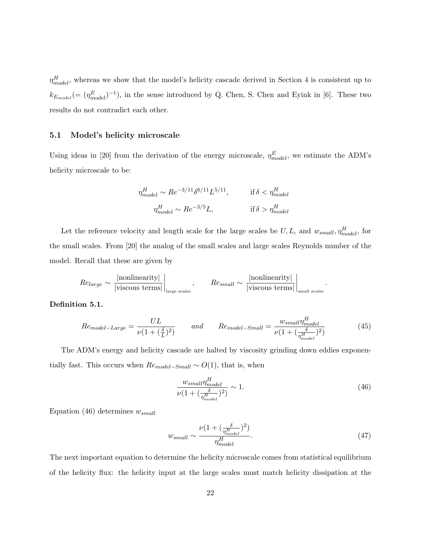$\eta_{model}^H$ , whereas we show that the model's helicity cascade derived in Section 4 is consistent up to  $k_{E_{model}} = (\eta_{model}^{E})^{-1}$ , in the sense introduced by Q. Chen, S. Chen and Eyink in [6]. These two results do not contradict each other.

#### 5.1 Model's helicity microscale

Using ideas in [20] from the derivation of the energy microscale,  $\eta_{model}^{E}$ , we estimate the ADM's helicity microscale to be:

$$
\begin{aligned}\n\eta_{model}^H &\sim Re^{-3/11} \delta^{6/11} L^{5/11}, & \text{if } \delta < \eta_{model}^H \\
\eta_{model}^H &\sim Re^{-3/5} L, & \text{if } \delta > \eta_{model}^H\n\end{aligned}
$$

Let the reference velocity and length scale for the large scales be  $U, L$ , and  $w_{small}, \eta_{model}^{H}$ , for the small scales. From [20] the analog of the small scales and large scales Reynolds number of the model. Recall that these are given by

$$
Re_{large} \sim \frac{|\text{nonlinearity}|}{|\text{viscous terms}|}\bigg|_{\text{large scales}}, \qquad Re_{small} \sim \frac{|\text{nonlinearity}|}{|\text{viscous terms}|}\bigg|_{\text{small scales}}.
$$

#### Definition 5.1.

$$
Re_{model-Large} = \frac{UL}{\nu(1+(\frac{\delta}{L})^2)} \qquad and \qquad Re_{model-Small} = \frac{w_{small} \eta_{model}^H}{\nu(1+(\frac{\delta}{\eta_{model}^H})^2)} \tag{45}
$$

The ADM's energy and helicity cascade are halted by viscosity grinding down eddies exponentially fast. This occurs when  $Re_{model-Small}\sim O(1),$  that is, when

$$
\frac{w_{small}\eta_{model}^{H}}{\nu(1+(\frac{\delta}{\eta_{model}^{H}})^{2})} \sim 1.
$$
\n(46)

Equation (46) determines  $w_{small}$ 

$$
w_{small} \sim \frac{\nu (1 + (\frac{\delta}{\eta_{model}^H})^2)}{\eta_{model}^H}.
$$
\n(47)

The next important equation to determine the helicity microscale comes from statistical equilibrium of the helicity flux: the helicity input at the large scales must match helicity dissipation at the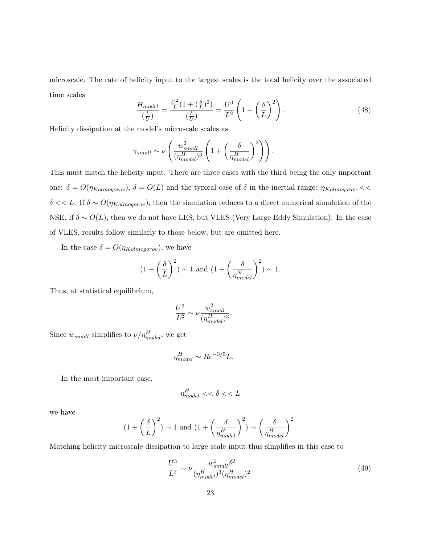microscale. The rate of helicity input to the largest scales is the total helicity over the associated time scales  $\overline{\phantom{a}}$ !<br>}

$$
\frac{H_{model}}{\left(\frac{L}{U}\right)} = \frac{\frac{U^2}{L}\left(1 + \left(\frac{\delta}{L}\right)^2\right)}{\left(\frac{L}{U}\right)} = \frac{U^3}{L^2} \left(1 + \left(\frac{\delta}{L}\right)^2\right). \tag{48}
$$

Helicity dissipation at the model's microscale scales as

$$
\gamma_{small} \sim \nu \left(\frac{w_{small}^2}{(\eta_{model}^H)^3} \left(1 + \left(\frac{\delta}{\eta_{model}^H}\right)^2\right)\right).
$$

This must match the helicity input. There are three cases with the third being the only important one:  $\delta = O(\eta_{Kolmogorov})$ ,  $\delta = O(L)$  and the typical case of  $\delta$  in the inertial range:  $\eta_{Kolmogorov}$  << δ << L. If  $\delta \sim O(\eta_{Kolmogorov})$ , then the simulation reduces to a direct numerical simulation of the NSE. If  $\delta \sim O(L)$ , then we do not have LES, but VLES (Very Large Eddy Simulation). In the case of VLES, results follow similarly to those below, but are omitted here.

In the case  $\delta = O(\eta_{Kolmogorov})$ , we have

$$
(1 + \left(\frac{\delta}{L}\right)^2) \sim 1 \text{ and } (1 + \left(\frac{\delta}{\eta_{model}^N}\right)^2) \sim 1.
$$

Thus, at statistical equilibrium,

$$
\frac{U^3}{L^2} \sim \nu \frac{w_{small}^2}{(\eta_{model}^H)^3}.
$$

Since  $w_{small}$  simplifies to  $\nu/\eta_{model}^H$ , we get

$$
\eta_{model}^{H} \sim Re^{-3/5}L.
$$

In the most important case,

$$
\eta^H_{model} << \delta << L
$$

we have

$$
(1+\left(\frac{\delta}{L}\right)^2)\sim 1\text{ and }\big(1+\left(\frac{\delta}{\eta^H_{model}}\right)^2\big)\sim \left(\frac{\delta}{\eta^H_{model}}\right)^2.
$$

Matching helicity microscale dissipation to large scale input thus simplifies in this case to

$$
\frac{U^3}{L^2} \sim \nu \frac{w_{small}^2 \delta^2}{(\eta_{model}^H)^3 (\eta_{model}^H)^2}.
$$
\n(49)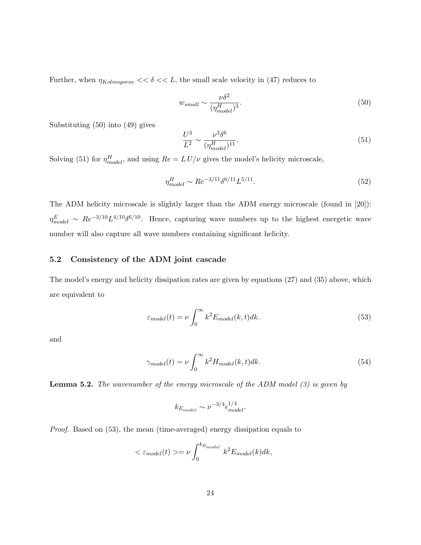Further, when  $\eta_{Kolmogorov} << \delta << L$ , the small scale velocity in (47) reduces to

$$
w_{small} \sim \frac{\nu \delta^2}{(\eta_{model}^H)^3}.\tag{50}
$$

Substituting (50) into (49) gives

$$
\frac{U^3}{L^2} \sim \frac{\nu^3 \delta^6}{(\eta_{model}^H)^{11}}.\tag{51}
$$

Solving (51) for  $\eta_{model}^H$ , and using  $Re = L U/\nu$  gives the model's helicity microscale,

$$
\eta_{model}^{H} \sim Re^{-3/11} \delta^{6/11} L^{5/11}.
$$
\n(52)

The ADM helicity microscale is slightly larger than the ADM energy microscale (found in [20]):  $\eta_{model}^E \sim Re^{-3/10} L^{4/10} \delta^{6/10}$ . Hence, capturing wave numbers up to the highest energetic wave number will also capture all wave numbers containing significant helicity.

#### 5.2 Consistency of the ADM joint cascade

The model's energy and helicity dissipation rates are given by equations (27) and (35) above, which are equivalent to

$$
\varepsilon_{model}(t) = \nu \int_0^\infty k^2 E_{model}(k, t) dk.
$$
\n(53)

and

$$
\gamma_{model}(t) = \nu \int_0^\infty k^2 H_{model}(k, t) dk. \tag{54}
$$

**Lemma 5.2.** The wavenumber of the energy microscale of the ADM model  $(3)$  is given by

$$
k_{E_{model}} \sim \nu^{-3/4} \epsilon_{model}^{1/4}.
$$

Proof. Based on (53), the mean (time-averaged) energy dissipation equals to

$$
<\varepsilon_{model}(t)>=\nu\int_{0}^{k_{E_{model}}}k^{2}E_{model}(k)dk,
$$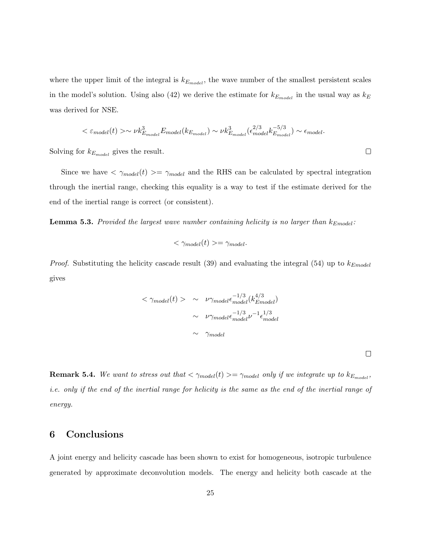where the upper limit of the integral is  $k_{E_{model}}$ , the wave number of the smallest persistent scales in the model's solution. Using also (42) we derive the estimate for  $k_{E_{model}}$  in the usual way as  $k_E$ was derived for NSE.

$$
\langle \varepsilon_{model}(t) \rangle \sim \nu k_{E_{model}}^3 E_{model}(k_{E_{model}}) \sim \nu k_{E_{model}}^3(\epsilon_{model}^{2/3} k_{E_{model}}^{-5/3}) \sim \epsilon_{model}.
$$

Solving for  $k_{E_{model}}$  gives the result.

Since we have  $\langle \gamma_{model}(t) \rangle = \gamma_{model}$  and the RHS can be calculated by spectral integration through the inertial range, checking this equality is a way to test if the estimate derived for the end of the inertial range is correct (or consistent).

**Lemma 5.3.** Provided the largest wave number containing helicity is no larger than  $k_{Embedel}$ :

$$
\langle \gamma_{model}(t) \rangle = \gamma_{model}.
$$

*Proof.* Substituting the helicity cascade result (39) and evaluating the integral (54) up to  $k_{Emodel}$ gives

$$
\langle \gamma_{model}(t) \rangle \sim \nu \gamma_{model} \epsilon_{model}^{-1/3} (k_{Embedel}^{4/3})
$$

$$
\sim \nu \gamma_{model} \epsilon_{model}^{-1/3} \nu^{-1} \epsilon_{model}^{1/3}
$$

$$
\sim \gamma_{model}
$$

 $\Box$ 

**Remark 5.4.** We want to stress out that  $\langle \gamma_{model}(t) \rangle = \gamma_{model}$  only if we integrate up to  $k_{E_{model}}$ , i.e. only if the end of the inertial range for helicity is the same as the end of the inertial range of energy.

## 6 Conclusions

A joint energy and helicity cascade has been shown to exist for homogeneous, isotropic turbulence generated by approximate deconvolution models. The energy and helicity both cascade at the

 $\Box$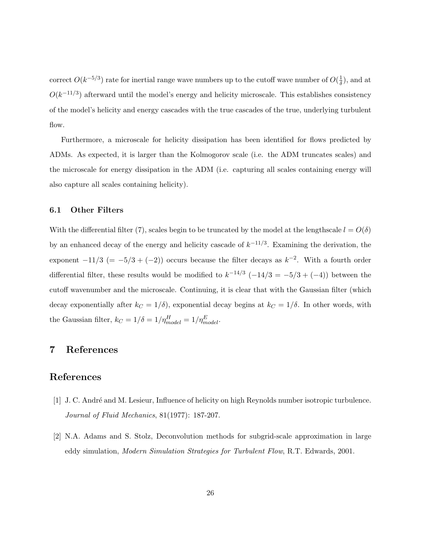correct  $O(k^{-5/3})$  rate for inertial range wave numbers up to the cutoff wave number of  $O(\frac{1}{\delta})$  $\frac{1}{\delta}$ ), and at  $O(k^{-11/3})$  afterward until the model's energy and helicity microscale. This establishes consistency of the model's helicity and energy cascades with the true cascades of the true, underlying turbulent flow.

Furthermore, a microscale for helicity dissipation has been identified for flows predicted by ADMs. As expected, it is larger than the Kolmogorov scale (i.e. the ADM truncates scales) and the microscale for energy dissipation in the ADM (i.e. capturing all scales containing energy will also capture all scales containing helicity).

#### 6.1 Other Filters

With the differential filter (7), scales begin to be truncated by the model at the lengthscale  $l = O(\delta)$ by an enhanced decay of the energy and helicity cascade of  $k^{-1/3}$ . Examining the derivation, the exponent  $-11/3$  (=  $-5/3 + (-2)$ ) occurs because the filter decays as  $k^{-2}$ . With a fourth order differential filter, these results would be modified to  $k^{-14/3}$  (-14/3 = -5/3 + (-4)) between the cutoff wavenumber and the microscale. Continuing, it is clear that with the Gaussian filter (which decay exponentially after  $k_C = 1/\delta$ , exponential decay begins at  $k_C = 1/\delta$ . In other words, with the Gaussian filter,  $k_C = 1/\delta = 1/\eta_{model}^H = 1/\eta_{model}^E$ .

### 7 References

#### References

- [1] J. C. André and M. Lesieur, Influence of helicity on high Reynolds number isotropic turbulence. Journal of Fluid Mechanics, 81(1977): 187-207.
- [2] N.A. Adams and S. Stolz, Deconvolution methods for subgrid-scale approximation in large eddy simulation, Modern Simulation Strategies for Turbulent Flow, R.T. Edwards, 2001.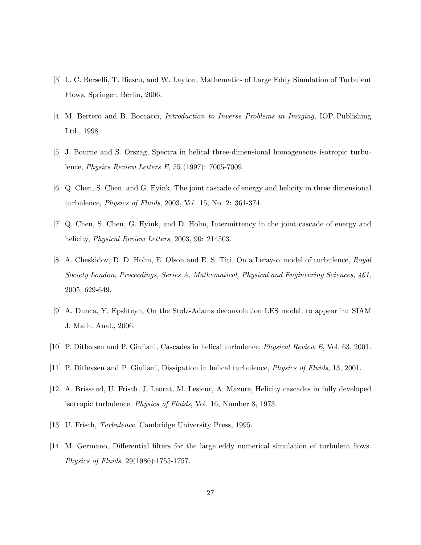- [3] L. C. Berselli, T. Iliescu, and W. Layton, Mathematics of Large Eddy Simulation of Turbulent Flows. Springer, Berlin, 2006.
- [4] M. Bertero and B. Boccacci, Introduction to Inverse Problems in Imaging, IOP Publishing Ltd., 1998.
- [5] J. Bourne and S. Orszag, Spectra in helical three-dimensional homogeneous isotropic turbulence, Physics Review Letters E, 55 (1997): 7005-7009.
- [6] Q. Chen, S. Chen, and G. Eyink, The joint cascade of energy and helicity in three dimensional turbulence, Physics of Fluids, 2003, Vol. 15, No. 2: 361-374.
- [7] Q. Chen, S. Chen, G. Eyink, and D. Holm, Intermittency in the joint cascade of energy and helicity, Physical Review Letters, 2003, 90: 214503.
- [8] A. Cheskidov, D. D. Holm, E. Olson and E. S. Titi, On a Leray-α model of turbulence, Royal Society London, Proceedings, Series A, Mathematical, Physical and Engineering Sciences, 461, 2005, 629-649.
- [9] A. Dunca, Y. Epshteyn, On the Stolz-Adams deconvolution LES model, to appear in: SIAM J. Math. Anal., 2006.
- [10] P. Ditlevsen and P. Giuliani, Cascades in helical turbulence, Physical Review E, Vol. 63, 2001.
- [11] P. Ditlevsen and P. Giuliani, Dissipation in helical turbulence, Physics of Fluids, 13, 2001.
- [12] A. Brissaud, U. Frisch, J. Leorat, M. Lesieur, A. Mazure, Helicity cascades in fully developed isotropic turbulence, Physics of Fluids, Vol. 16, Number 8, 1973.
- [13] U. Frisch, *Turbulence*. Cambridge University Press, 1995.
- [14] M. Germano, Differential filters for the large eddy numerical simulation of turbulent flows. Physics of Fluids, 29(1986):1755-1757.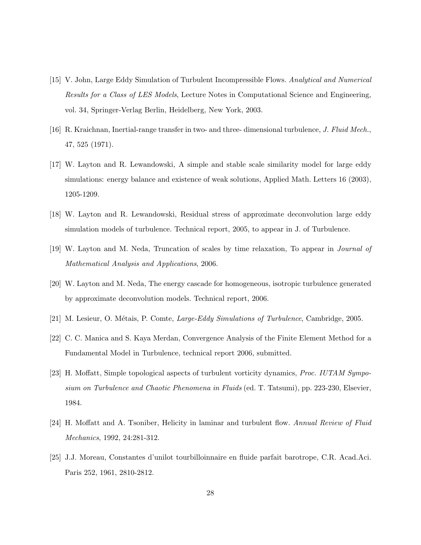- [15] V. John, Large Eddy Simulation of Turbulent Incompressible Flows. Analytical and Numerical Results for a Class of LES Models, Lecture Notes in Computational Science and Engineering, vol. 34, Springer-Verlag Berlin, Heidelberg, New York, 2003.
- [16] R. Kraichnan, Inertial-range transfer in two- and three- dimensional turbulence, J. Fluid Mech., 47, 525 (1971).
- [17] W. Layton and R. Lewandowski, A simple and stable scale similarity model for large eddy simulations: energy balance and existence of weak solutions, Applied Math. Letters 16 (2003), 1205-1209.
- [18] W. Layton and R. Lewandowski, Residual stress of approximate deconvolution large eddy simulation models of turbulence. Technical report, 2005, to appear in J. of Turbulence.
- [19] W. Layton and M. Neda, Truncation of scales by time relaxation, To appear in Journal of Mathematical Analysis and Applications, 2006.
- [20] W. Layton and M. Neda, The energy cascade for homogeneous, isotropic turbulence generated by approximate deconvolution models. Technical report, 2006.
- [21] M. Lesieur, O. Métais, P. Comte, Large-Eddy Simulations of Turbulence, Cambridge, 2005.
- [22] C. C. Manica and S. Kaya Merdan, Convergence Analysis of the Finite Element Method for a Fundamental Model in Turbulence, technical report 2006, submitted.
- [23] H. Moffatt, Simple topological aspects of turbulent vorticity dynamics, Proc. IUTAM Symposium on Turbulence and Chaotic Phenomena in Fluids (ed. T. Tatsumi), pp. 223-230, Elsevier, 1984.
- [24] H. Moffatt and A. Tsoniber, Helicity in laminar and turbulent flow. Annual Review of Fluid Mechanics, 1992, 24:281-312.
- [25] J.J. Moreau, Constantes d'unilot tourbilloinnaire en fluide parfait barotrope, C.R. Acad.Aci. Paris 252, 1961, 2810-2812.